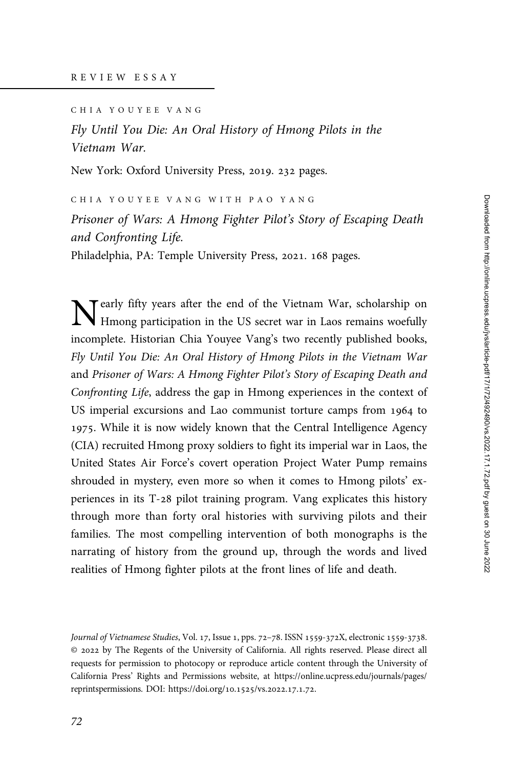CHIA YOUYEE VANG

Fly Until You Die: An Oral History of Hmong Pilots in the Vietnam War.

New York: Oxford University Press, 2019. 232 pages.

CHIA YOUYEE VANG WITH PAO YANG

Prisoner of Wars: A Hmong Fighter Pilot's Story of Escaping Death and Confronting Life.

Philadelphia, PA: Temple University Press, 2021. 168 pages.

Tearly fifty years after the end of the Vietnam War, scholarship on Hmong participation in the US secret war in Laos remains woefully incomplete. Historian Chia Youyee Vang's two recently published books, Fly Until You Die: An Oral History of Hmong Pilots in the Vietnam War and Prisoner of Wars: A Hmong Fighter Pilot's Story of Escaping Death and Confronting Life, address the gap in Hmong experiences in the context of US imperial excursions and Lao communist torture camps from 1964 to 1975. While it is now widely known that the Central Intelligence Agency (CIA) recruited Hmong proxy soldiers to fight its imperial war in Laos, the United States Air Force's covert operation Project Water Pump remains shrouded in mystery, even more so when it comes to Hmong pilots' experiences in its T-28 pilot training program. Vang explicates this history through more than forty oral histories with surviving pilots and their families. The most compelling intervention of both monographs is the narrating of history from the ground up, through the words and lived realities of Hmong fighter pilots at the front lines of life and death.

Journal of Vietnamese Studies, Vol. 17, Issue 1, pps. 72-78. ISSN 1559-372X, electronic 1559-3738. © by The Regents of the University of California. All rights reserved. Please direct all requests for permission to photocopy or reproduce article content through the University of California Press' Rights and Permissions website, at [https://online.ucpress.edu/journals/pages/](https://online.ucpress.edu/journals/pages/reprintspermissions) [reprintspermissions.](https://online.ucpress.edu/journals/pages/reprintspermissions) [DOI: https://doi.org/](https://doi.org/10.1525/vs.2022.17.1.72)10.1525/vs.2022.17.1.72.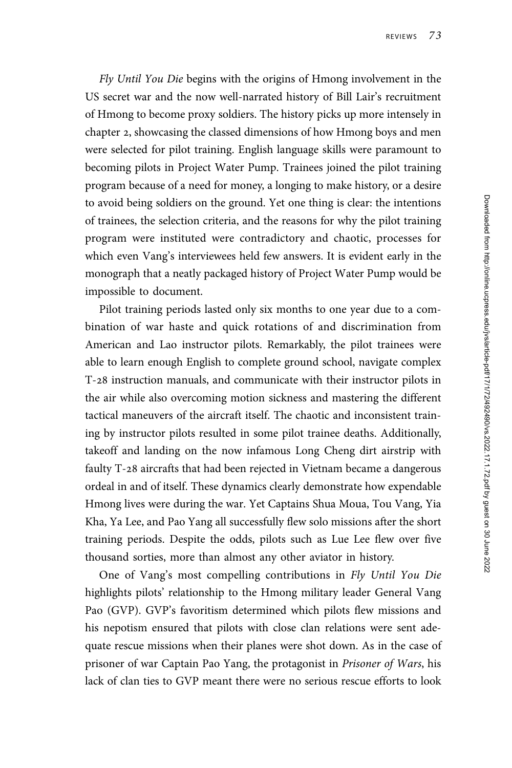Fly Until You Die begins with the origins of Hmong involvement in the US secret war and the now well-narrated history of Bill Lair's recruitment of Hmong to become proxy soldiers. The history picks up more intensely in chapter 2, showcasing the classed dimensions of how Hmong boys and men were selected for pilot training. English language skills were paramount to becoming pilots in Project Water Pump. Trainees joined the pilot training program because of a need for money, a longing to make history, or a desire to avoid being soldiers on the ground. Yet one thing is clear: the intentions of trainees, the selection criteria, and the reasons for why the pilot training program were instituted were contradictory and chaotic, processes for which even Vang's interviewees held few answers. It is evident early in the monograph that a neatly packaged history of Project Water Pump would be impossible to document.

Pilot training periods lasted only six months to one year due to a combination of war haste and quick rotations of and discrimination from American and Lao instructor pilots. Remarkably, the pilot trainees were able to learn enough English to complete ground school, navigate complex T-28 instruction manuals, and communicate with their instructor pilots in the air while also overcoming motion sickness and mastering the different tactical maneuvers of the aircraft itself. The chaotic and inconsistent training by instructor pilots resulted in some pilot trainee deaths. Additionally, takeoff and landing on the now infamous Long Cheng dirt airstrip with faulty T-28 aircrafts that had been rejected in Vietnam became a dangerous ordeal in and of itself. These dynamics clearly demonstrate how expendable Hmong lives were during the war. Yet Captains Shua Moua, Tou Vang, Yia Kha, Ya Lee, and Pao Yang all successfully flew solo missions after the short training periods. Despite the odds, pilots such as Lue Lee flew over five thousand sorties, more than almost any other aviator in history.

One of Vang's most compelling contributions in Fly Until You Die highlights pilots' relationship to the Hmong military leader General Vang Pao (GVP). GVP's favoritism determined which pilots flew missions and his nepotism ensured that pilots with close clan relations were sent adequate rescue missions when their planes were shot down. As in the case of prisoner of war Captain Pao Yang, the protagonist in Prisoner of Wars, his lack of clan ties to GVP meant there were no serious rescue efforts to look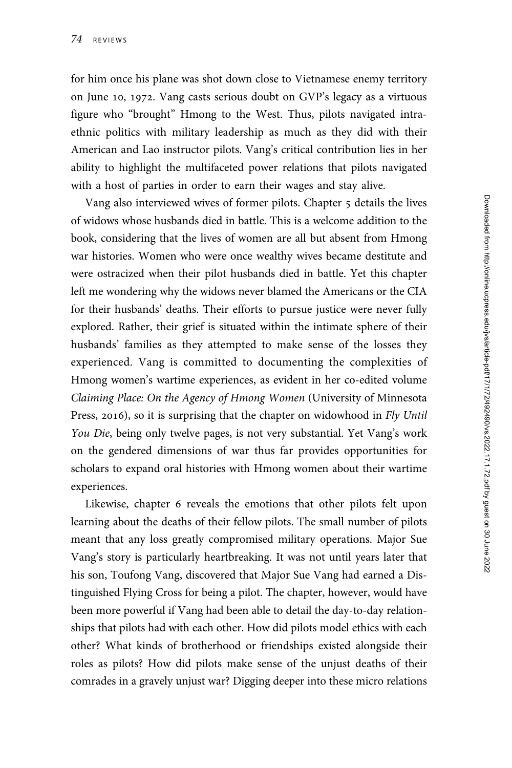for him once his plane was shot down close to Vietnamese enemy territory on June 10, 1972. Vang casts serious doubt on GVP's legacy as a virtuous figure who "brought" Hmong to the West. Thus, pilots navigated intraethnic politics with military leadership as much as they did with their American and Lao instructor pilots. Vang's critical contribution lies in her ability to highlight the multifaceted power relations that pilots navigated with a host of parties in order to earn their wages and stay alive.

Vang also interviewed wives of former pilots. Chapter 5 details the lives of widows whose husbands died in battle. This is a welcome addition to the book, considering that the lives of women are all but absent from Hmong war histories. Women who were once wealthy wives became destitute and were ostracized when their pilot husbands died in battle. Yet this chapter left me wondering why the widows never blamed the Americans or the CIA for their husbands' deaths. Their efforts to pursue justice were never fully explored. Rather, their grief is situated within the intimate sphere of their husbands' families as they attempted to make sense of the losses they experienced. Vang is committed to documenting the complexities of Hmong women's wartime experiences, as evident in her co-edited volume Claiming Place: On the Agency of Hmong Women (University of Minnesota Press, 2016), so it is surprising that the chapter on widowhood in Fly Until You Die, being only twelve pages, is not very substantial. Yet Vang's work on the gendered dimensions of war thus far provides opportunities for scholars to expand oral histories with Hmong women about their wartime experiences.

Likewise, chapter 6 reveals the emotions that other pilots felt upon learning about the deaths of their fellow pilots. The small number of pilots meant that any loss greatly compromised military operations. Major Sue Vang's story is particularly heartbreaking. It was not until years later that his son, Toufong Vang, discovered that Major Sue Vang had earned a Distinguished Flying Cross for being a pilot. The chapter, however, would have been more powerful if Vang had been able to detail the day-to-day relationships that pilots had with each other. How did pilots model ethics with each other? What kinds of brotherhood or friendships existed alongside their roles as pilots? How did pilots make sense of the unjust deaths of their comrades in a gravely unjust war? Digging deeper into these micro relations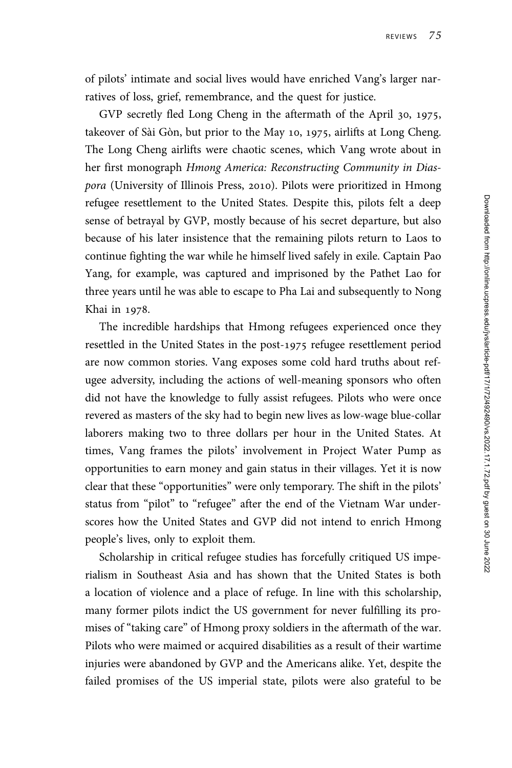of pilots' intimate and social lives would have enriched Vang's larger narratives of loss, grief, remembrance, and the quest for justice.

GVP secretly fled Long Cheng in the aftermath of the April 30, 1975, takeover of Sài Gòn, but prior to the May 10, 1975, airlifts at Long Cheng. The Long Cheng airlifts were chaotic scenes, which Vang wrote about in her first monograph Hmong America: Reconstructing Community in Diaspora (University of Illinois Press, 2010). Pilots were prioritized in Hmong refugee resettlement to the United States. Despite this, pilots felt a deep sense of betrayal by GVP, mostly because of his secret departure, but also because of his later insistence that the remaining pilots return to Laos to continue fighting the war while he himself lived safely in exile. Captain Pao Yang, for example, was captured and imprisoned by the Pathet Lao for three years until he was able to escape to Pha Lai and subsequently to Nong Khai in 1978.

The incredible hardships that Hmong refugees experienced once they resettled in the United States in the post-1975 refugee resettlement period are now common stories. Vang exposes some cold hard truths about refugee adversity, including the actions of well-meaning sponsors who often did not have the knowledge to fully assist refugees. Pilots who were once revered as masters of the sky had to begin new lives as low-wage blue-collar laborers making two to three dollars per hour in the United States. At times, Vang frames the pilots' involvement in Project Water Pump as opportunities to earn money and gain status in their villages. Yet it is now clear that these "opportunities" were only temporary. The shift in the pilots' status from "pilot" to "refugee" after the end of the Vietnam War underscores how the United States and GVP did not intend to enrich Hmong people's lives, only to exploit them.

Scholarship in critical refugee studies has forcefully critiqued US imperialism in Southeast Asia and has shown that the United States is both a location of violence and a place of refuge. In line with this scholarship, many former pilots indict the US government for never fulfilling its promises of "taking care" of Hmong proxy soldiers in the aftermath of the war. Pilots who were maimed or acquired disabilities as a result of their wartime injuries were abandoned by GVP and the Americans alike. Yet, despite the failed promises of the US imperial state, pilots were also grateful to be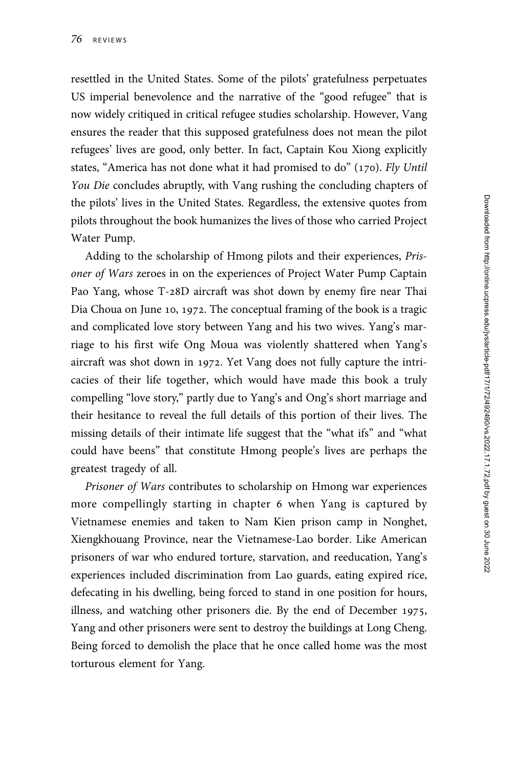resettled in the United States. Some of the pilots' gratefulness perpetuates US imperial benevolence and the narrative of the "good refugee" that is now widely critiqued in critical refugee studies scholarship. However, Vang ensures the reader that this supposed gratefulness does not mean the pilot refugees' lives are good, only better. In fact, Captain Kou Xiong explicitly states, "America has not done what it had promised to do" (170). Fly Until You Die concludes abruptly, with Vang rushing the concluding chapters of the pilots' lives in the United States. Regardless, the extensive quotes from pilots throughout the book humanizes the lives of those who carried Project Water Pump.

Adding to the scholarship of Hmong pilots and their experiences, Prisoner of Wars zeroes in on the experiences of Project Water Pump Captain Pao Yang, whose T-28D aircraft was shot down by enemy fire near Thai Dia Choua on June 10, 1972. The conceptual framing of the book is a tragic and complicated love story between Yang and his two wives. Yang's marriage to his first wife Ong Moua was violently shattered when Yang's aircraft was shot down in 1972. Yet Vang does not fully capture the intricacies of their life together, which would have made this book a truly compelling "love story," partly due to Yang's and Ong's short marriage and their hesitance to reveal the full details of this portion of their lives. The missing details of their intimate life suggest that the "what ifs" and "what could have beens" that constitute Hmong people's lives are perhaps the greatest tragedy of all.

Prisoner of Wars contributes to scholarship on Hmong war experiences more compellingly starting in chapter 6 when Yang is captured by Vietnamese enemies and taken to Nam Kien prison camp in Nonghet, Xiengkhouang Province, near the Vietnamese-Lao border. Like American prisoners of war who endured torture, starvation, and reeducation, Yang's experiences included discrimination from Lao guards, eating expired rice, defecating in his dwelling, being forced to stand in one position for hours, illness, and watching other prisoners die. By the end of December 1975, Yang and other prisoners were sent to destroy the buildings at Long Cheng. Being forced to demolish the place that he once called home was the most torturous element for Yang.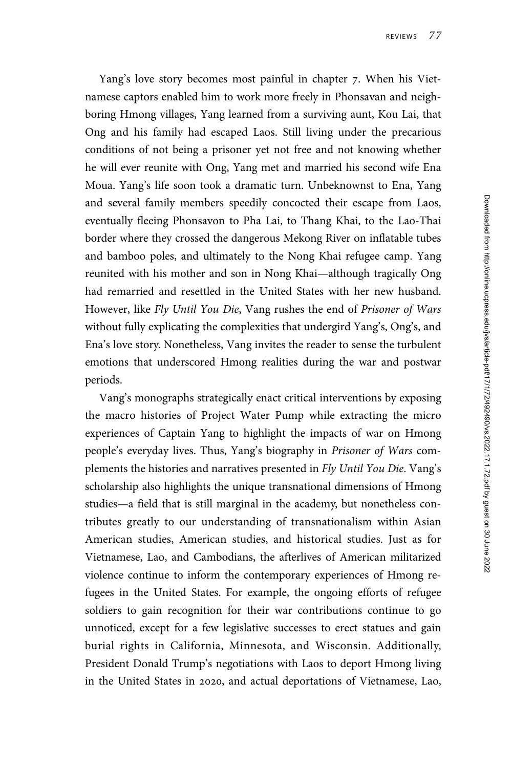Yang's love story becomes most painful in chapter 7. When his Vietnamese captors enabled him to work more freely in Phonsavan and neighboring Hmong villages, Yang learned from a surviving aunt, Kou Lai, that Ong and his family had escaped Laos. Still living under the precarious conditions of not being a prisoner yet not free and not knowing whether he will ever reunite with Ong, Yang met and married his second wife Ena Moua. Yang's life soon took a dramatic turn. Unbeknownst to Ena, Yang and several family members speedily concocted their escape from Laos, eventually fleeing Phonsavon to Pha Lai, to Thang Khai, to the Lao-Thai border where they crossed the dangerous Mekong River on inflatable tubes and bamboo poles, and ultimately to the Nong Khai refugee camp. Yang reunited with his mother and son in Nong Khai—although tragically Ong had remarried and resettled in the United States with her new husband. However, like Fly Until You Die, Vang rushes the end of Prisoner of Wars without fully explicating the complexities that undergird Yang's, Ong's, and Ena's love story. Nonetheless, Vang invites the reader to sense the turbulent emotions that underscored Hmong realities during the war and postwar periods.

Vang's monographs strategically enact critical interventions by exposing the macro histories of Project Water Pump while extracting the micro experiences of Captain Yang to highlight the impacts of war on Hmong people's everyday lives. Thus, Yang's biography in Prisoner of Wars complements the histories and narratives presented in Fly Until You Die. Vang's scholarship also highlights the unique transnational dimensions of Hmong studies—a field that is still marginal in the academy, but nonetheless contributes greatly to our understanding of transnationalism within Asian American studies, American studies, and historical studies. Just as for Vietnamese, Lao, and Cambodians, the afterlives of American militarized violence continue to inform the contemporary experiences of Hmong refugees in the United States. For example, the ongoing efforts of refugee soldiers to gain recognition for their war contributions continue to go unnoticed, except for a few legislative successes to erect statues and gain burial rights in California, Minnesota, and Wisconsin. Additionally, President Donald Trump's negotiations with Laos to deport Hmong living in the United States in 2020, and actual deportations of Vietnamese, Lao,